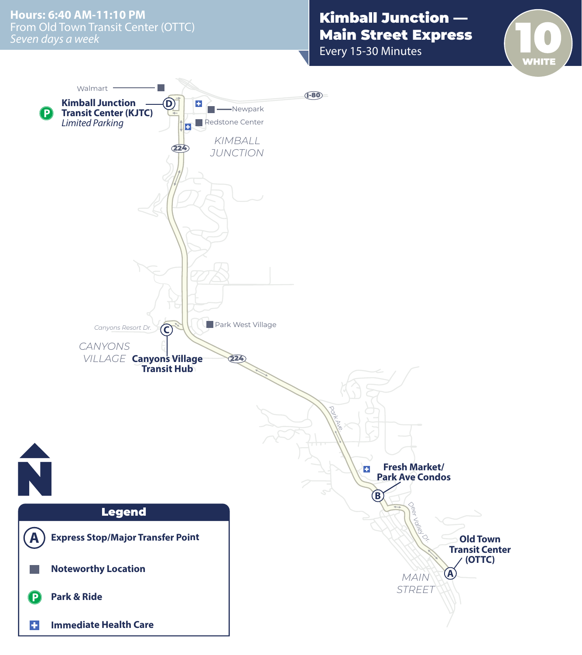From Old Town Transit Center (OTTC) *Seven days a week* **Hours: 6:40 AM-11:10 PM**

## Kimball Junction — Main Street Express

Every 15-30 Minutes